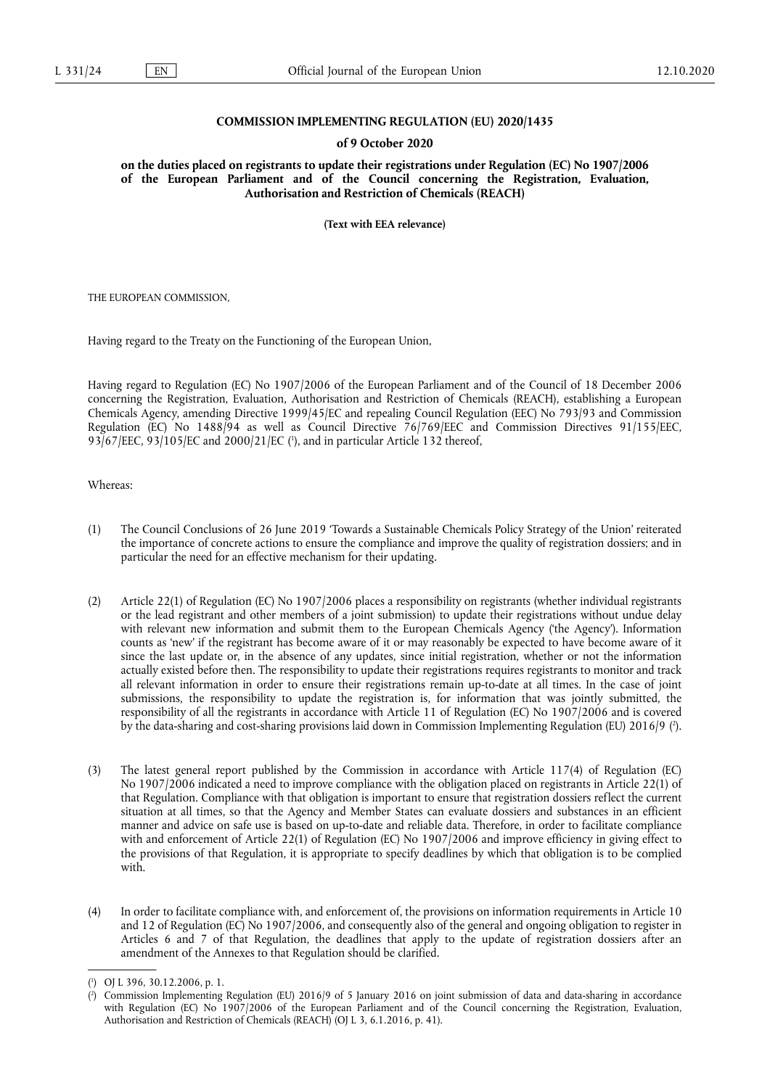### **COMMISSION IMPLEMENTING REGULATION (EU) 2020/1435**

### **of 9 October 2020**

**on the duties placed on registrants to update their registrations under Regulation (EC) No 1907/2006 of the European Parliament and of the Council concerning the Registration, Evaluation, Authorisation and Restriction of Chemicals (REACH)** 

**(Text with EEA relevance)** 

THE EUROPEAN COMMISSION,

Having regard to the Treaty on the Functioning of the European Union,

Having regard to Regulation (EC) No 1907/2006 of the European Parliament and of the Council of 18 December 2006 concerning the Registration, Evaluation, Authorisation and Restriction of Chemicals (REACH), establishing a European Chemicals Agency, amending Directive 1999/45/EC and repealing Council Regulation (EEC) No 793/93 and Commission Regulation (EC) No 1488/94 as well as Council Directive 76/769/EEC and Commission Directives 91/155/EEC, 93/67/EEC, 93/105/EC and 2000/21/EC [\(](#page-0-0) 1 ), and in particular Article 132 thereof,

<span id="page-0-2"></span>Whereas:

- (1) The Council Conclusions of 26 June 2019 'Towards a Sustainable Chemicals Policy Strategy of the Union' reiterated the importance of concrete actions to ensure the compliance and improve the quality of registration dossiers; and in particular the need for an effective mechanism for their updating.
- (2) Article 22(1) of Regulation (EC) No 1907/2006 places a responsibility on registrants (whether individual registrants or the lead registrant and other members of a joint submission) to update their registrations without undue delay with relevant new information and submit them to the European Chemicals Agency ('the Agency'). Information counts as 'new' if the registrant has become aware of it or may reasonably be expected to have become aware of it since the last update or, in the absence of any updates, since initial registration, whether or not the information actually existed before then. The responsibility to update their registrations requires registrants to monitor and track all relevant information in order to ensure their registrations remain up-to-date at all times. In the case of joint submissions, the responsibility to update the registration is, for information that was jointly submitted, the responsibility of all the registrants in accordance with Article 11 of Regulation (EC) No 1907/2006 and is covered by the data-sharing and cost-sharing provisions laid down in Commission Implementing Regulation [\(](#page-0-1)EU) 2016/9 (?).
- <span id="page-0-3"></span>(3) The latest general report published by the Commission in accordance with Article 117(4) of Regulation (EC) No 1907/2006 indicated a need to improve compliance with the obligation placed on registrants in Article 22(1) of that Regulation. Compliance with that obligation is important to ensure that registration dossiers reflect the current situation at all times, so that the Agency and Member States can evaluate dossiers and substances in an efficient manner and advice on safe use is based on up-to-date and reliable data. Therefore, in order to facilitate compliance with and enforcement of Article 22(1) of Regulation (EC) No 1907/2006 and improve efficiency in giving effect to the provisions of that Regulation, it is appropriate to specify deadlines by which that obligation is to be complied with.
- (4) In order to facilitate compliance with, and enforcement of, the provisions on information requirements in Article 10 and 12 of Regulation (EC) No 1907/2006, and consequently also of the general and ongoing obligation to register in Articles 6 and 7 of that Regulation, the deadlines that apply to the update of registration dossiers after an amendment of the Annexes to that Regulation should be clarified.

<span id="page-0-0"></span>[<sup>\(</sup>](#page-0-2) 1 ) OJ L 396, 30.12.2006, p. 1.

<span id="page-0-1"></span>[<sup>\(</sup>](#page-0-3) 2 ) Commission Implementing Regulation (EU) 2016/9 of 5 January 2016 on joint submission of data and data-sharing in accordance with Regulation (EC) No 1907/2006 of the European Parliament and of the Council concerning the Registration, Evaluation, Authorisation and Restriction of Chemicals (REACH) (OJ L 3, 6.1.2016, p. 41).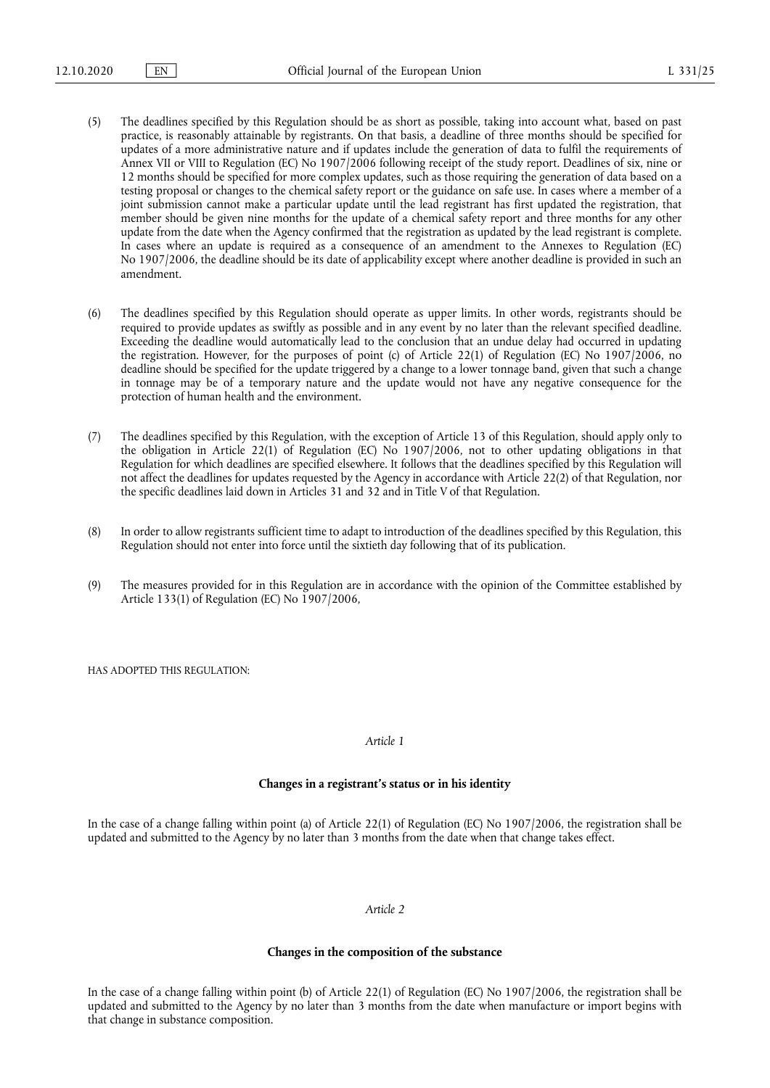- (5) The deadlines specified by this Regulation should be as short as possible, taking into account what, based on past practice, is reasonably attainable by registrants. On that basis, a deadline of three months should be specified for updates of a more administrative nature and if updates include the generation of data to fulfil the requirements of Annex VII or VIII to Regulation (EC) No 1907/2006 following receipt of the study report. Deadlines of six, nine or 12 months should be specified for more complex updates, such as those requiring the generation of data based on a testing proposal or changes to the chemical safety report or the guidance on safe use. In cases where a member of a joint submission cannot make a particular update until the lead registrant has first updated the registration, that member should be given nine months for the update of a chemical safety report and three months for any other update from the date when the Agency confirmed that the registration as updated by the lead registrant is complete. In cases where an update is required as a consequence of an amendment to the Annexes to Regulation (EC) No 1907/2006, the deadline should be its date of applicability except where another deadline is provided in such an amendment.
- (6) The deadlines specified by this Regulation should operate as upper limits. In other words, registrants should be required to provide updates as swiftly as possible and in any event by no later than the relevant specified deadline. Exceeding the deadline would automatically lead to the conclusion that an undue delay had occurred in updating the registration. However, for the purposes of point (c) of Article 22(1) of Regulation (EC) No 1907/2006, no deadline should be specified for the update triggered by a change to a lower tonnage band, given that such a change in tonnage may be of a temporary nature and the update would not have any negative consequence for the protection of human health and the environment.
- (7) The deadlines specified by this Regulation, with the exception of Article 13 of this Regulation, should apply only to the obligation in Article 22(1) of Regulation (EC) No 1907/2006, not to other updating obligations in that Regulation for which deadlines are specified elsewhere. It follows that the deadlines specified by this Regulation will not affect the deadlines for updates requested by the Agency in accordance with Article 22(2) of that Regulation, nor the specific deadlines laid down in Articles 31 and 32 and in Title V of that Regulation.
- (8) In order to allow registrants sufficient time to adapt to introduction of the deadlines specified by this Regulation, this Regulation should not enter into force until the sixtieth day following that of its publication.
- (9) The measures provided for in this Regulation are in accordance with the opinion of the Committee established by Article 133(1) of Regulation (EC) No 1907/2006,

HAS ADOPTED THIS REGULATION:

# *Article 1*

### **Changes in a registrant's status or in his identity**

In the case of a change falling within point (a) of Article 22(1) of Regulation (EC) No 1907/2006, the registration shall be updated and submitted to the Agency by no later than 3 months from the date when that change takes effect.

### *Article 2*

### **Changes in the composition of the substance**

In the case of a change falling within point (b) of Article 22(1) of Regulation (EC) No 1907/2006, the registration shall be updated and submitted to the Agency by no later than 3 months from the date when manufacture or import begins with that change in substance composition.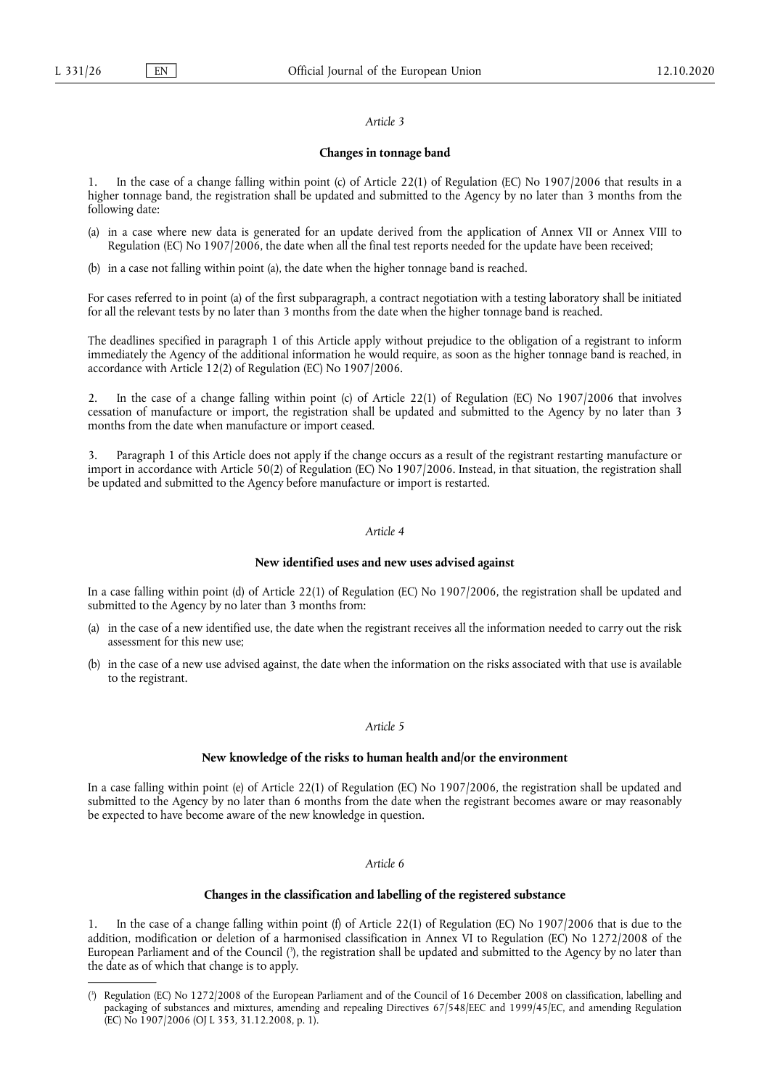#### *Article 3*

### **Changes in tonnage band**

1. In the case of a change falling within point (c) of Article 22(1) of Regulation (EC) No 1907/2006 that results in a higher tonnage band, the registration shall be updated and submitted to the Agency by no later than 3 months from the following date:

- (a) in a case where new data is generated for an update derived from the application of Annex VII or Annex VIII to Regulation (EC) No 1907/2006, the date when all the final test reports needed for the update have been received;
- (b) in a case not falling within point (a), the date when the higher tonnage band is reached.

For cases referred to in point (a) of the first subparagraph, a contract negotiation with a testing laboratory shall be initiated for all the relevant tests by no later than 3 months from the date when the higher tonnage band is reached.

The deadlines specified in paragraph 1 of this Article apply without prejudice to the obligation of a registrant to inform immediately the Agency of the additional information he would require, as soon as the higher tonnage band is reached, in accordance with Article 12(2) of Regulation (EC) No 1907/2006.

2. In the case of a change falling within point (c) of Article 22(1) of Regulation (EC) No 1907/2006 that involves cessation of manufacture or import, the registration shall be updated and submitted to the Agency by no later than 3 months from the date when manufacture or import ceased.

3. Paragraph 1 of this Article does not apply if the change occurs as a result of the registrant restarting manufacture or import in accordance with Article 50(2) of Regulation (EC) No 1907/2006. Instead, in that situation, the registration shall be updated and submitted to the Agency before manufacture or import is restarted.

# *Article 4*

#### **New identified uses and new uses advised against**

In a case falling within point (d) of Article 22(1) of Regulation (EC) No 1907/2006, the registration shall be updated and submitted to the Agency by no later than 3 months from:

- (a) in the case of a new identified use, the date when the registrant receives all the information needed to carry out the risk assessment for this new use;
- (b) in the case of a new use advised against, the date when the information on the risks associated with that use is available to the registrant.

# *Article 5*

# **New knowledge of the risks to human health and/or the environment**

In a case falling within point (e) of Article 22(1) of Regulation (EC) No 1907/2006, the registration shall be updated and submitted to the Agency by no later than 6 months from the date when the registrant becomes aware or may reasonably be expected to have become aware of the new knowledge in question.

### *Article 6*

### **Changes in the classification and labelling of the registered substance**

<span id="page-2-1"></span>In the case of a change falling within point (f) of Article 22(1) of Regulation (EC) No  $1907/2006$  that is due to the addition, modification or deletion of a harmonised classification in Annex VI to Regulation (EC) No 1272/2008 of the European Parliament and of the Council [\(](#page-2-0)3), the registration shall be updated and submitted to the Agency by no later than the date as of which that change is to apply.

<span id="page-2-0"></span>[<sup>\(</sup>](#page-2-1) 3 ) Regulation (EC) No 1272/2008 of the European Parliament and of the Council of 16 December 2008 on classification, labelling and packaging of substances and mixtures, amending and repealing Directives 67/548/EEC and 1999/45/EC, and amending Regulation (EC) No 1907/2006 (OJ L 353, 31.12.2008, p. 1).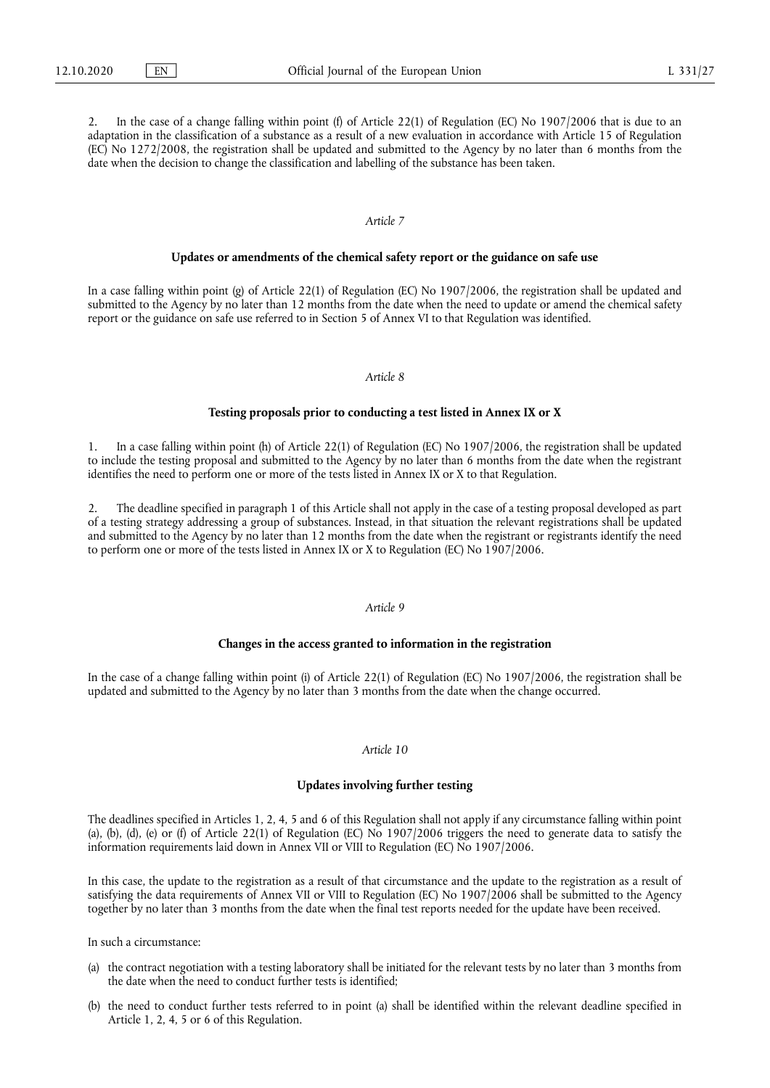2. In the case of a change falling within point (f) of Article 22(1) of Regulation (EC) No 1907/2006 that is due to an adaptation in the classification of a substance as a result of a new evaluation in accordance with Article 15 of Regulation (EC) No 1272/2008, the registration shall be updated and submitted to the Agency by no later than 6 months from the date when the decision to change the classification and labelling of the substance has been taken.

### *Article 7*

### **Updates or amendments of the chemical safety report or the guidance on safe use**

In a case falling within point (g) of Article 22(1) of Regulation (EC) No 1907/2006, the registration shall be updated and submitted to the Agency by no later than 12 months from the date when the need to update or amend the chemical safety report or the guidance on safe use referred to in Section 5 of Annex VI to that Regulation was identified.

### *Article 8*

#### **Testing proposals prior to conducting a test listed in Annex IX or X**

1. In a case falling within point (h) of Article 22(1) of Regulation (EC) No 1907/2006, the registration shall be updated to include the testing proposal and submitted to the Agency by no later than 6 months from the date when the registrant identifies the need to perform one or more of the tests listed in Annex IX or X to that Regulation.

2. The deadline specified in paragraph 1 of this Article shall not apply in the case of a testing proposal developed as part of a testing strategy addressing a group of substances. Instead, in that situation the relevant registrations shall be updated and submitted to the Agency by no later than 12 months from the date when the registrant or registrants identify the need to perform one or more of the tests listed in Annex IX or X to Regulation (EC) No 1907/2006.

### *Article 9*

### **Changes in the access granted to information in the registration**

In the case of a change falling within point (i) of Article 22(1) of Regulation (EC) No 1907/2006, the registration shall be updated and submitted to the Agency by no later than 3 months from the date when the change occurred.

### *Article 10*

#### **Updates involving further testing**

The deadlines specified in Articles 1, 2, 4, 5 and 6 of this Regulation shall not apply if any circumstance falling within point (a), (b), (d), (e) or (f) of Article 22(1) of Regulation (EC) No 1907/2006 triggers the need to generate data to satisfy the information requirements laid down in Annex VII or VIII to Regulation (EC) No 1907/2006.

In this case, the update to the registration as a result of that circumstance and the update to the registration as a result of satisfying the data requirements of Annex VII or VIII to Regulation (EC) No 1907/2006 shall be submitted to the Agency together by no later than 3 months from the date when the final test reports needed for the update have been received.

In such a circumstance:

- the contract negotiation with a testing laboratory shall be initiated for the relevant tests by no later than 3 months from the date when the need to conduct further tests is identified;
- (b) the need to conduct further tests referred to in point (a) shall be identified within the relevant deadline specified in Article 1, 2, 4, 5 or 6 of this Regulation.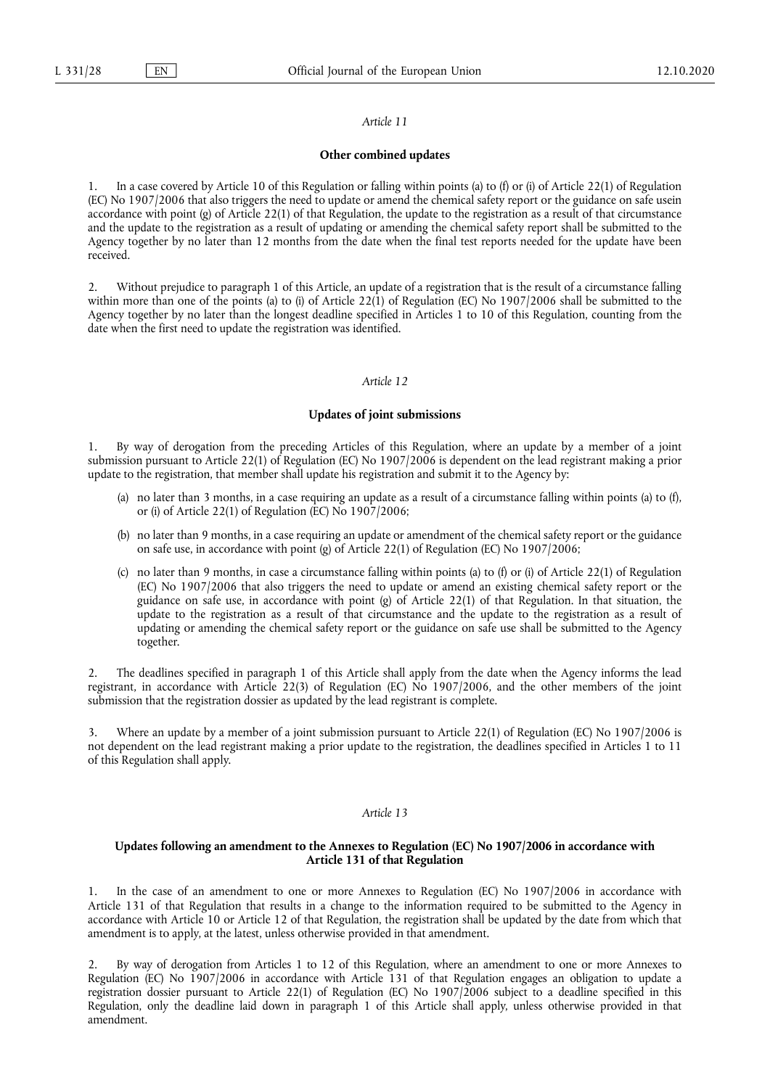#### *Article 11*

#### **Other combined updates**

1. In a case covered by Article 10 of this Regulation or falling within points (a) to (f) or (i) of Article 22(1) of Regulation (EC) No 1907/2006 that also triggers the need to update or amend the chemical safety report or the guidance on safe usein accordance with point (g) of Article 22(1) of that Regulation, the update to the registration as a result of that circumstance and the update to the registration as a result of updating or amending the chemical safety report shall be submitted to the Agency together by no later than 12 months from the date when the final test reports needed for the update have been received.

2. Without prejudice to paragraph 1 of this Article, an update of a registration that is the result of a circumstance falling within more than one of the points (a) to (i) of Article 22(1) of Regulation (EC) No 1907/2006 shall be submitted to the Agency together by no later than the longest deadline specified in Articles 1 to 10 of this Regulation, counting from the date when the first need to update the registration was identified.

#### *Article 12*

### **Updates of joint submissions**

1. By way of derogation from the preceding Articles of this Regulation, where an update by a member of a joint submission pursuant to Article 22(1) of Regulation (EC) No 1907/2006 is dependent on the lead registrant making a prior update to the registration, that member shall update his registration and submit it to the Agency by:

- (a) no later than 3 months, in a case requiring an update as a result of a circumstance falling within points (a) to (f), or (i) of Article 22(1) of Regulation (EC) No 1907/2006;
- (b) no later than 9 months, in a case requiring an update or amendment of the chemical safety report or the guidance on safe use, in accordance with point (g) of Article 22(1) of Regulation (EC) No 1907/2006;
- (c) no later than 9 months, in case a circumstance falling within points (a) to (f) or (i) of Article 22(1) of Regulation (EC) No 1907/2006 that also triggers the need to update or amend an existing chemical safety report or the guidance on safe use, in accordance with point (g) of Article 22(1) of that Regulation. In that situation, the update to the registration as a result of that circumstance and the update to the registration as a result of updating or amending the chemical safety report or the guidance on safe use shall be submitted to the Agency together.

2. The deadlines specified in paragraph 1 of this Article shall apply from the date when the Agency informs the lead registrant, in accordance with Article 22(3) of Regulation (EC) No 1907/2006, and the other members of the joint submission that the registration dossier as updated by the lead registrant is complete.

3. Where an update by a member of a joint submission pursuant to Article 22(1) of Regulation (EC) No 1907/2006 is not dependent on the lead registrant making a prior update to the registration, the deadlines specified in Articles 1 to 11 of this Regulation shall apply.

#### *Article 13*

### **Updates following an amendment to the Annexes to Regulation (EC) No 1907/2006 in accordance with Article 131 of that Regulation**

1. In the case of an amendment to one or more Annexes to Regulation (EC) No 1907/2006 in accordance with Article 131 of that Regulation that results in a change to the information required to be submitted to the Agency in accordance with Article 10 or Article 12 of that Regulation, the registration shall be updated by the date from which that amendment is to apply, at the latest, unless otherwise provided in that amendment.

2. By way of derogation from Articles 1 to 12 of this Regulation, where an amendment to one or more Annexes to Regulation (EC) No 1907/2006 in accordance with Article 131 of that Regulation engages an obligation to update a registration dossier pursuant to Article 22(1) of Regulation (EC) No 1907/2006 subject to a deadline specified in this Regulation, only the deadline laid down in paragraph 1 of this Article shall apply, unless otherwise provided in that amendment.